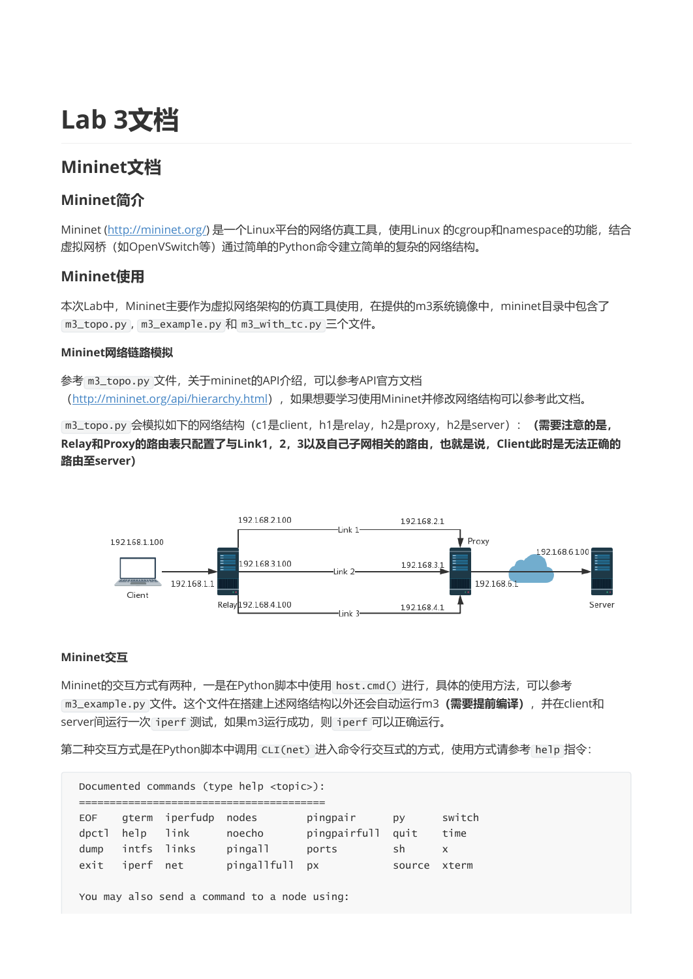# Lab 3文档

# Mininet文档

# Mininet简介

Mininet [\(http://mininet.org/](http://mininet.org/)) 是一个Linux平台的网络仿真工具,使用Linux 的cgroup和namespace的功能,结合 虚拟网桥(如OpenVSwitch等)通过简单的Python命令建立简单的复杂的网络结构。

### Mininet使用

本次Lab中, Mininet主要作为虚拟网络架构的仿真工具使用, 在提供的m3系统镜像中, mininet目录中包含了 m3\_topo.py , m3\_example.py 和 m3\_with\_tc.py 三个文件。

### Mininet网络链路模拟

参考 m3\_topo.py 文件,关于mininet的API介绍,可以参考API官方文档 (<http://mininet.org/api/hierarchy.html>),如果想要学习使用Mininet并修改网络结构可以参考此文档。

m3\_topo.py 会模拟如下的网络结构 (c1是client, h1是relay, h2是proxy, h2是server): (需要注意的是, Relay和Proxy的路由表只配置了与Link1,2,3以及自己子网相关的路由,也就是说,Client此时是无法正确的 路由至server)



### Mininet交互

Mininet的交互方式有两种,一是在Python脚本中使用 host.cmd() 进行,具体的使用方法,可以参考 m3\_example.py 文件。这个文件在搭建上述网络结构以外还会自动运行m3 (需要提前编译), 并在client和 server间运行一次 iperf 测试, 如果m3运行成功, 则 iperf 可以正确运行。

第二种交互方式是在Python脚本中调用 CLI(net) 进入命令行交互式的方式,使用方式请参考 help 指令:

Documented commands (type help <topic>):  $=$ EOF gterm iperfudp nodes pingpair py switch dpctl help link noecho pingpairfull quit time dump intfs links pingall ports sh x exit iperf net pingallfull px source xterm You may also send a command to a node using: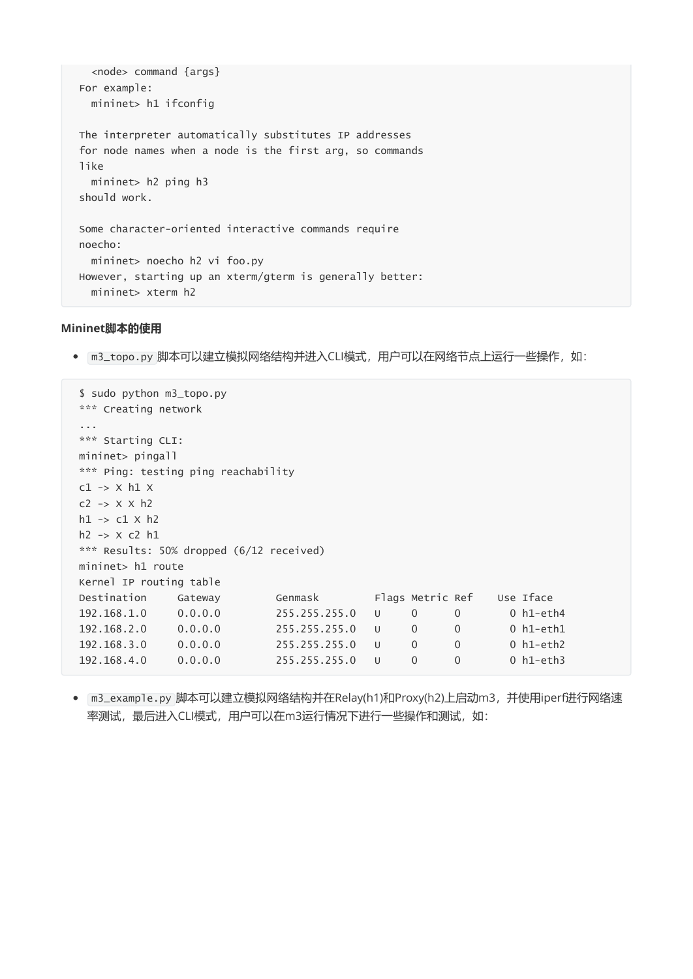```
<node> command {args}
For example:
 mininet> h1 ifconfig
The interpreter automatically substitutes IP addresses
for node names when a node is the first arg, so commands
like
 mininet> h2 ping h3
should work.
Some character-oriented interactive commands require
noecho:
  mininet> noecho h2 vi foo.py
However, starting up an xterm/gterm is generally better:
  mininet> xterm h2
```
#### Mininet脚本的使用

m3\_topo.py 脚本可以建立模拟网络结构并进入CLI模式,用户可以在网络节点上运行一些操作,如:

```
$ sudo python m3_topo.py
*** Creating network
...
*** Starting CLI:
mininet> pingall
*** Ping: testing ping reachability
c1 \rightarrow x h1 xc2 \rightarrow x \times h2h1 \rightarrow c1 \times h2h2 -> X c2 h1
*** Results: 50% dropped (6/12 received)
mininet> h1 route
Kernel IP routing table
Destination Gateway Genmask Flags Metric Ref Use Iface
192.168.1.0 0.0.0.0 255.255.255.0 U 0 0 0 h1-eth4
192.168.2.0 0.0.0.0 255.255.255.0 U 0 0 0 h1-eth1
192.168.3.0 0.0.0.0 255.255.255.0 U 0 0 0 h1-eth2
192.168.4.0 0.0.0.0 255.255.255.0 U 0 0 0 h1-eth3
```
m3\_example.py 脚本可以建立模拟网络结构并在Relay(h1)和Proxy(h2)上启动m3,并使用iperf进行网络速 率测试, 最后进入CLI模式, 用户可以在m3运行情况下进行一些操作和测试, 如: